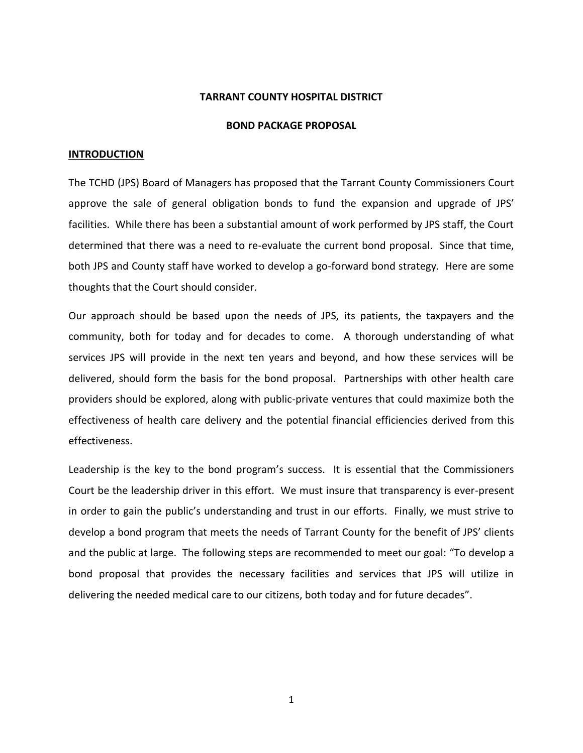### **TARRANT COUNTY HOSPITAL DISTRICT**

### **BOND PACKAGE PROPOSAL**

#### **INTRODUCTION**

The TCHD (JPS) Board of Managers has proposed that the Tarrant County Commissioners Court approve the sale of general obligation bonds to fund the expansion and upgrade of JPS' facilities. While there has been a substantial amount of work performed by JPS staff, the Court determined that there was a need to re-evaluate the current bond proposal. Since that time, both JPS and County staff have worked to develop a go-forward bond strategy. Here are some thoughts that the Court should consider.

Our approach should be based upon the needs of JPS, its patients, the taxpayers and the community, both for today and for decades to come. A thorough understanding of what services JPS will provide in the next ten years and beyond, and how these services will be delivered, should form the basis for the bond proposal. Partnerships with other health care providers should be explored, along with public-private ventures that could maximize both the effectiveness of health care delivery and the potential financial efficiencies derived from this effectiveness.

Leadership is the key to the bond program's success. It is essential that the Commissioners Court be the leadership driver in this effort. We must insure that transparency is ever-present in order to gain the public's understanding and trust in our efforts. Finally, we must strive to develop a bond program that meets the needs of Tarrant County for the benefit of JPS' clients and the public at large. The following steps are recommended to meet our goal: "To develop a bond proposal that provides the necessary facilities and services that JPS will utilize in delivering the needed medical care to our citizens, both today and for future decades".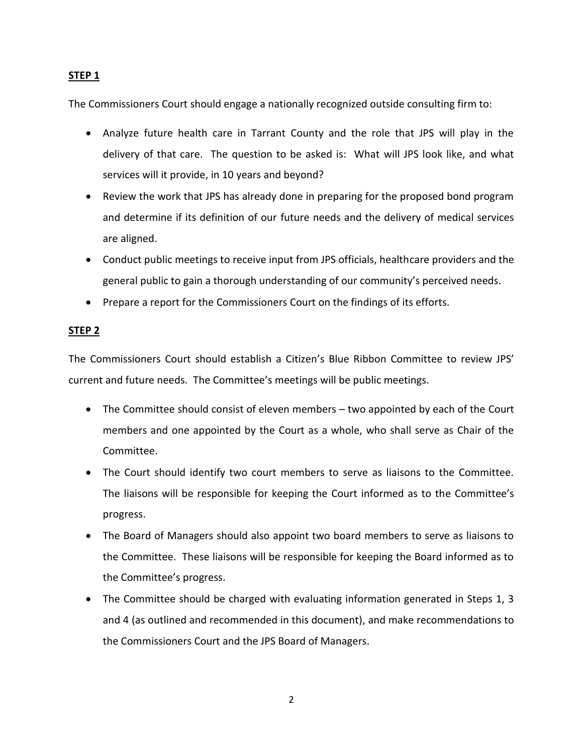# **STEP 1**

The Commissioners Court should engage a nationally recognized outside consulting firm to:

- Analyze future health care in Tarrant County and the role that JPS will play in the delivery of that care. The question to be asked is: What will JPS look like, and what services will it provide, in 10 years and beyond?
- Review the work that JPS has already done in preparing for the proposed bond program and determine if its definition of our future needs and the delivery of medical services are aligned.
- Conduct public meetings to receive input from JPS officials, healthcare providers and the general public to gain a thorough understanding of our community's perceived needs.
- Prepare a report for the Commissioners Court on the findings of its efforts.

# **STEP 2**

The Commissioners Court should establish a Citizen's Blue Ribbon Committee to review JPS' current and future needs. The Committee's meetings will be public meetings.

- The Committee should consist of eleven members two appointed by each of the Court members and one appointed by the Court as a whole, who shall serve as Chair of the Committee.
- The Court should identify two court members to serve as liaisons to the Committee. The liaisons will be responsible for keeping the Court informed as to the Committee's progress.
- The Board of Managers should also appoint two board members to serve as liaisons to the Committee. These liaisons will be responsible for keeping the Board informed as to the Committee's progress.
- The Committee should be charged with evaluating information generated in Steps 1, 3 and 4 (as outlined and recommended in this document), and make recommendations to the Commissioners Court and the JPS Board of Managers.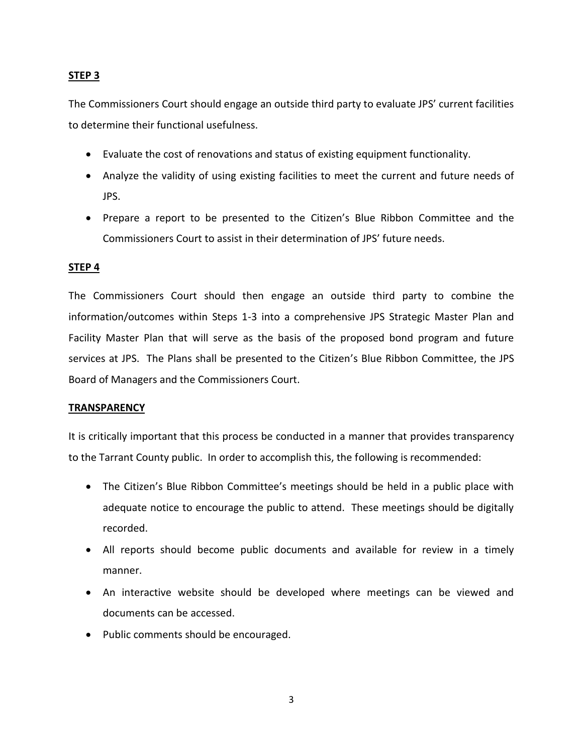# **STEP 3**

The Commissioners Court should engage an outside third party to evaluate JPS' current facilities to determine their functional usefulness.

- Evaluate the cost of renovations and status of existing equipment functionality.
- Analyze the validity of using existing facilities to meet the current and future needs of JPS.
- Prepare a report to be presented to the Citizen's Blue Ribbon Committee and the Commissioners Court to assist in their determination of JPS' future needs.

## **STEP 4**

The Commissioners Court should then engage an outside third party to combine the information/outcomes within Steps 1-3 into a comprehensive JPS Strategic Master Plan and Facility Master Plan that will serve as the basis of the proposed bond program and future services at JPS. The Plans shall be presented to the Citizen's Blue Ribbon Committee, the JPS Board of Managers and the Commissioners Court.

### **TRANSPARENCY**

It is critically important that this process be conducted in a manner that provides transparency to the Tarrant County public. In order to accomplish this, the following is recommended:

- The Citizen's Blue Ribbon Committee's meetings should be held in a public place with adequate notice to encourage the public to attend. These meetings should be digitally recorded.
- All reports should become public documents and available for review in a timely manner.
- An interactive website should be developed where meetings can be viewed and documents can be accessed.
- Public comments should be encouraged.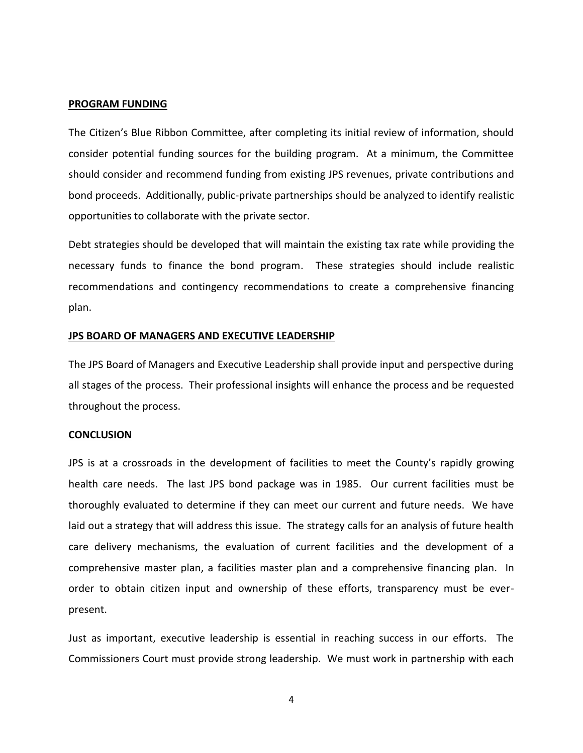### **PROGRAM FUNDING**

The Citizen's Blue Ribbon Committee, after completing its initial review of information, should consider potential funding sources for the building program. At a minimum, the Committee should consider and recommend funding from existing JPS revenues, private contributions and bond proceeds. Additionally, public-private partnerships should be analyzed to identify realistic opportunities to collaborate with the private sector.

Debt strategies should be developed that will maintain the existing tax rate while providing the necessary funds to finance the bond program. These strategies should include realistic recommendations and contingency recommendations to create a comprehensive financing plan.

#### **JPS BOARD OF MANAGERS AND EXECUTIVE LEADERSHIP**

The JPS Board of Managers and Executive Leadership shall provide input and perspective during all stages of the process. Their professional insights will enhance the process and be requested throughout the process.

#### **CONCLUSION**

JPS is at a crossroads in the development of facilities to meet the County's rapidly growing health care needs. The last JPS bond package was in 1985. Our current facilities must be thoroughly evaluated to determine if they can meet our current and future needs. We have laid out a strategy that will address this issue. The strategy calls for an analysis of future health care delivery mechanisms, the evaluation of current facilities and the development of a comprehensive master plan, a facilities master plan and a comprehensive financing plan. In order to obtain citizen input and ownership of these efforts, transparency must be everpresent.

Just as important, executive leadership is essential in reaching success in our efforts. The Commissioners Court must provide strong leadership. We must work in partnership with each

4